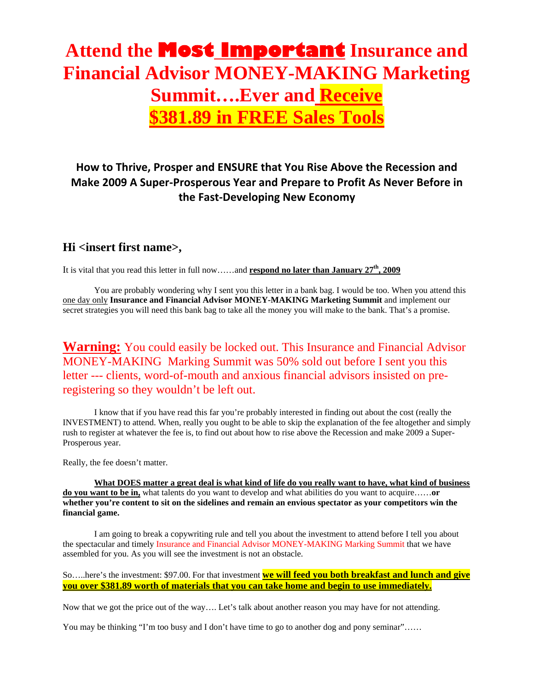# **Attend the Most Important Insurance and Financial Advisor MONEY-MAKING Marketing Summit….Ever and Receive \$381.89 in FREE Sales Tools**

### **How to Thrive, Prosper and ENSURE that You Rise Above the Recession and Make 2009 A Super‐Prosperous Year and Prepare to Profit As Never Before in the Fast‐Developing New Economy**

### **Hi <insert first name>,**

It is vital that you read this letter in full now……and **respond no later than January 27th, 2009**

You are probably wondering why I sent you this letter in a bank bag. I would be too. When you attend this one day only **Insurance and Financial Advisor MONEY-MAKING Marketing Summit** and implement our secret strategies you will need this bank bag to take all the money you will make to the bank. That's a promise.

### **Warning:** You could easily be locked out. This Insurance and Financial Advisor MONEY-MAKING Marking Summit was 50% sold out before I sent you this letter --- clients, word-of-mouth and anxious financial advisors insisted on preregistering so they wouldn't be left out.

I know that if you have read this far you're probably interested in finding out about the cost (really the INVESTMENT) to attend. When, really you ought to be able to skip the explanation of the fee altogether and simply rush to register at whatever the fee is, to find out about how to rise above the Recession and make 2009 a Super-Prosperous year.

Really, the fee doesn't matter.

**What DOES matter a great deal is what kind of life do you really want to have, what kind of business do you want to be in,** what talents do you want to develop and what abilities do you want to acquire……**or whether you're content to sit on the sidelines and remain an envious spectator as your competitors win the financial game.** 

I am going to break a copywriting rule and tell you about the investment to attend before I tell you about the spectacular and timely Insurance and Financial Advisor MONEY-MAKING Marking Summit that we have assembled for you. As you will see the investment is not an obstacle.

So…..here's the investment: \$97.00. For that investment **we will feed you both breakfast and lunch and give you over \$381.89 worth of materials that you can take home and begin to use immediately.**

Now that we got the price out of the way…. Let's talk about another reason you may have for not attending.

You may be thinking "I'm too busy and I don't have time to go to another dog and pony seminar"......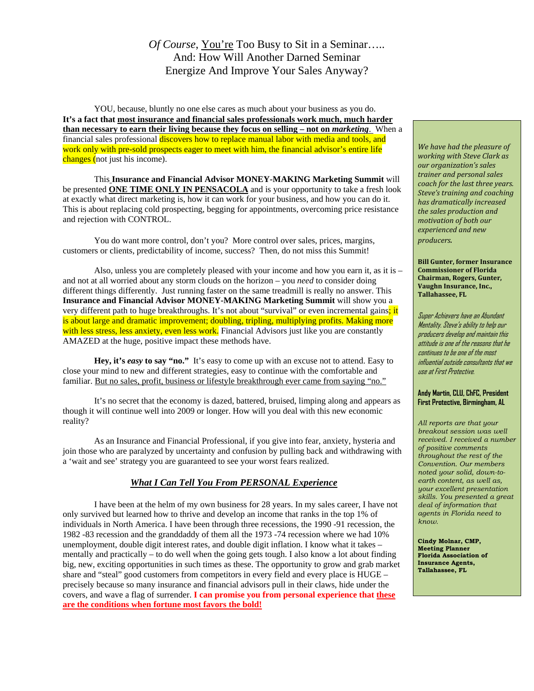### *Of Course*, You're Too Busy to Sit in a Seminar….. And: How Will Another Darned Seminar Energize And Improve Your Sales Anyway?

 YOU, because, bluntly no one else cares as much about your business as you do. **It's a fact that most insurance and financial sales professionals work much, much harder than necessary to earn their living because they focus on selling – not on** *marketing*. When a financial sales professional discovers how to replace manual labor with media and tools, and work only with pre-sold prospects eager to meet with him, the financial advisor's entire life changes (not just his income).

This **Insurance and Financial Advisor MONEY-MAKING Marketing Summit** will be presented **ONE TIME ONLY IN PENSACOLA** and is your opportunity to take a fresh look at exactly what direct marketing is, how it can work for your business, and how you can do it. This is about replacing cold prospecting, begging for appointments, overcoming price resistance and rejection with CONTROL.

You do want more control, don't you? More control over sales, prices, margins, customers or clients, predictability of income, success? Then, do not miss this Summit!

Also, unless you are completely pleased with your income and how you earn it, as it is – and not at all worried about any storm clouds on the horizon – you *need* to consider doing different things differently. Just running faster on the same treadmill is really no answer. This **Insurance and Financial Advisor MONEY-MAKING Marketing Summit** will show you a very different path to huge breakthroughs. It's not about "survival" or even incremental gains; it is about large and dramatic improvement; doubling, tripling, multiplying profits. Making more with less stress, less anxiety, even less work. Financial Advisors just like you are constantly AMAZED at the huge, positive impact these methods have.

**Hey, it's** *easy* **to say "no."** It's easy to come up with an excuse not to attend. Easy to close your mind to new and different strategies, easy to continue with the comfortable and familiar. But no sales, profit, business or lifestyle breakthrough ever came from saying "no."

It's no secret that the economy is dazed, battered, bruised, limping along and appears as though it will continue well into 2009 or longer. How will you deal with this new economic reality?

As an Insurance and Financial Professional, if you give into fear, anxiety, hysteria and join those who are paralyzed by uncertainty and confusion by pulling back and withdrawing with a 'wait and see' strategy you are guaranteed to see your worst fears realized.

#### *What I Can Tell You From PERSONAL Experience*

I have been at the helm of my own business for 28 years. In my sales career, I have not only survived but learned how to thrive and develop an income that ranks in the top 1% of individuals in North America. I have been through three recessions, the 1990 -91 recession, the 1982 -83 recession and the granddaddy of them all the 1973 -74 recession where we had 10% unemployment, double digit interest rates, and double digit inflation. I know what it takes – mentally and practically – to do well when the going gets tough. I also know a lot about finding big, new, exciting opportunities in such times as these. The opportunity to grow and grab market share and "steal" good customers from competitors in every field and every place is HUGE – precisely because so many insurance and financial advisors pull in their claws, hide under the covers, and wave a flag of surrender. **I can promise you from personal experience that these are the conditions when fortune most favors the bold!**

*We have had the pleasure of working with Steve Clark as our organization's sales trainer and personal sales coach for the last three years. Steve's training and coaching has dramatically increased the sales production and motivation of both our experienced and new producers.*

**Bill Gunter, former Insurance Commissioner of Florida Chairman, Rogers, Gunter, Vaughn Insurance, Inc., Tallahassee, FL**

Super Achievers have an Abundant Mentality. Steve's ability to help our producers develop and maintain this attitude is one of the reasons that he continues to be one of the most influential outside consultants that we use at First Protective.

#### **Andy Martin, CLU, ChFC, President First Protective, Birmingham, AL**

*All reports are that your breakout session was well received. I received a number of positive comments throughout the rest of the Convention. Our members noted your solid, down-toearth content, as well as, your excellent presentation skills. You presented a great deal of information that agents in Florida need to know.*

**Cindy Molnar, CMP, Meeting Planner Florida Association of Insurance Agents, Tallahassee, FL**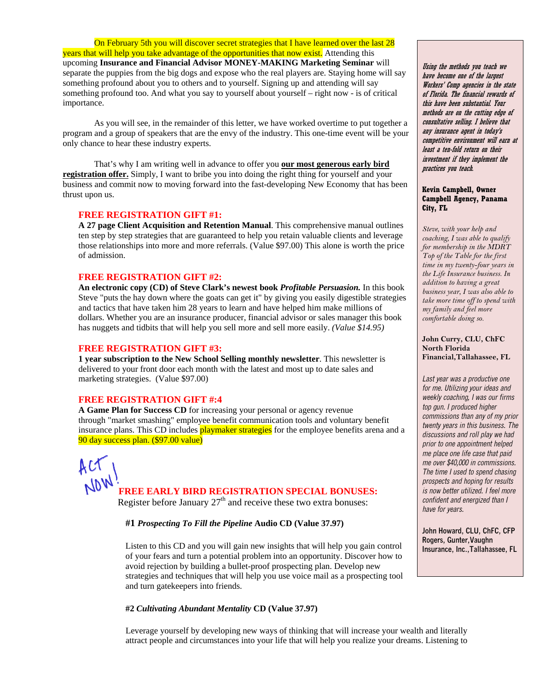On February 5th you will discover secret strategies that I have learned over the last 28 years that will help you take advantage of the opportunities that now exist. Attending this upcoming **Insurance and Financial Advisor MONEY-MAKING Marketing Seminar** will separate the puppies from the big dogs and expose who the real players are. Staying home will say something profound about you to others and to yourself. Signing up and attending will say something profound too. And what you say to yourself about yourself – right now - is of critical importance.

As you will see, in the remainder of this letter, we have worked overtime to put together a program and a group of speakers that are the envy of the industry. This one-time event will be your only chance to hear these industry experts.

That's why I am writing well in advance to offer you **our most generous early bird registration offer.** Simply, I want to bribe you into doing the right thing for yourself and your business and commit now to moving forward into the fast-developing New Economy that has been thrust upon us.

#### **FREE REGISTRATION GIFT #1:**

**A 27 page Client Acquisition and Retention Manual**. This comprehensive manual outlines ten step by step strategies that are guaranteed to help you retain valuable clients and leverage those relationships into more and more referrals. (Value \$97.00) This alone is worth the price of admission.

#### **FREE REGISTRATION GIFT #2:**

**An electronic copy (CD) of Steve Clark's newest book** *Profitable Persuasion.* In this book Steve "puts the hay down where the goats can get it" by giving you easily digestible strategies and tactics that have taken him 28 years to learn and have helped him make millions of dollars. Whether you are an insurance producer, financial advisor or sales manager this book has nuggets and tidbits that will help you sell more and sell more easily. *(Value \$14.95)* 

#### **FREE REGISTRATION GIFT #3:**

**1 year subscription to the New School Selling monthly newsletter**. This newsletter is delivered to your front door each month with the latest and most up to date sales and marketing strategies. (Value \$97.00)

#### **FREE REGISTRATION GIFT #:4**

**A Game Plan for Success CD** for increasing your personal or agency revenue through "market smashing" employee benefit communication tools and voluntary benefit insurance plans. This CD includes **playmaker strategies** for the employee benefits arena and a 90 day success plan. (\$97.00 value)

**FREE EARLY BIRD REGISTRATION SPECIAL BONUSES:** 

Register before January  $27<sup>th</sup>$  and receive these two extra bonuses:

#### **#1** *Prospecting To Fill the Pipeline* **Audio CD (Value 37.97)**

Listen to this CD and you will gain new insights that will help you gain control of your fears and turn a potential problem into an opportunity. Discover how to avoid rejection by building a bullet-proof prospecting plan. Develop new strategies and techniques that will help you use voice mail as a prospecting tool and turn gatekeepers into friends.

#### **#2** *Cultivating Abundant Mentality* **CD (Value 37.97)**

Leverage yourself by developing new ways of thinking that will increase your wealth and literally attract people and circumstances into your life that will help you realize your dreams. Listening to

Using the methods you teach we have become one of the largest Workers' Comp agencies in the state of Florida. The financial rewards of this have been substantial. Your methods are on the cutting edge of consultative selling. I believe that any insurance agent in today's competitive environment will earn at least a ten-fold return on their investment if they implement the practices you teach.

#### **Kevin Campbell, Owner Campbell Agency, Panama City, FL**

*Steve, with your help and coaching, I was able to qualify for membership in the MDRT Top of the Table for the first time in my twenty-four years in the Life Insurance business. In addition to having a great business year, I was also able to take more time off to spend with my family and feel more comfortable doing so.*

#### **John Curry, CLU, ChFC North Florida Financial,Tallahassee, FL**

*Last year was a productive one for me. Utilizing your ideas and weekly coaching, I was our firms top gun. I produced higher commissions than any of my prior twenty years in this business. The discussions and roll play we had prior to one appointment helped me place one life case that paid me over \$40,000 in commissions. The time I used to spend chasing prospects and hoping for results is now better utilized. I feel more confident and energized than I have for years.*

**John Howard, CLU, ChFC, CFP Rogers, Gunter,Vaughn Insurance, Inc.,Tallahassee, FL**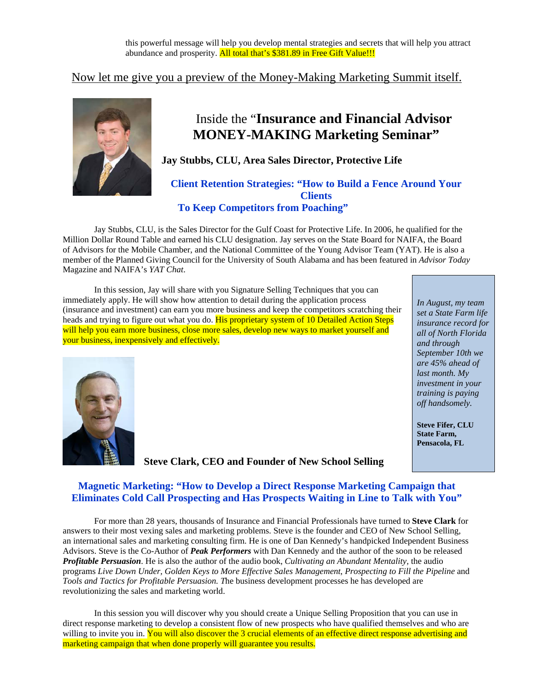### Now let me give you a preview of the Money-Making Marketing Summit itself.



## Inside the "**Insurance and Financial Advisor MONEY-MAKING Marketing Seminar"**

### **Jay Stubbs, CLU, Area Sales Director, Protective Life**

#### **Client Retention Strategies: "How to Build a Fence Around Your Clients To Keep Competitors from Poaching"**

Jay Stubbs, CLU, is the Sales Director for the Gulf Coast for Protective Life. In 2006, he qualified for the Million Dollar Round Table and earned his CLU designation. Jay serves on the State Board for NAIFA, the Board of Advisors for the Mobile Chamber, and the National Committee of the Young Advisor Team (YAT). He is also a member of the Planned Giving Council for the University of South Alabama and has been featured in *Advisor Today* Magazine and NAIFA's *YAT Chat*.

In this session, Jay will share with you Signature Selling Techniques that you can immediately apply. He will show how attention to detail during the application process (insurance and investment) can earn you more business and keep the competitors scratching their heads and trying to figure out what you do. His proprietary system of 10 Detailed Action Steps will help you earn more business, close more sales, develop new ways to market yourself and your business, inexpensively and effectively.

*In August, my team set a State Farm life insurance record for all of North Florida and through September 10th we are 45% ahead of last month. My investment in your training is paying off handsomely.*

**Steve Fifer, CLU State Farm, Pensacola, FL** 

**Steve Clark, CEO and Founder of New School Selling**

### **Magnetic Marketing: "How to Develop a Direct Response Marketing Campaign that Eliminates Cold Call Prospecting and Has Prospects Waiting in Line to Talk with You"**

For more than 28 years, thousands of Insurance and Financial Professionals have turned to **Steve Clark** for answers to their most vexing sales and marketing problems. Steve is the founder and CEO of New School Selling, an international sales and marketing consulting firm. He is one of Dan Kennedy's handpicked Independent Business Advisors. Steve is the Co-Author of *Peak Performers* with Dan Kennedy and the author of the soon to be released *Profitable Persuasion*. He is also the author of the audio book, *[Cultivating an Abundant Mentality](http://www.newschoolselling.com/products/cultivating-abundant-mentality-audio-book-with-workbook),* the audio programs *[Live Down Under,](http://www.newschoolselling.com/products/live-down-under-8-cds) [Golden Keys to More Effective Sales Management](http://www.newschoolselling.com/products/golden-keys-to-more-effective-sales-management)*, *[Prospecting to Fill the Pipeline](http://www.newschoolselling.com/products/prospecting-to-fill-the-pipeline/)* and *Tools and Tactics for Profitable Persuasion. T*he business development processes he has developed are revolutionizing the sales and marketing world.

In this session you will discover why you should create a Unique Selling Proposition that you can use in direct response marketing to develop a consistent flow of new prospects who have qualified themselves and who are willing to invite you in. You will also discover the 3 crucial elements of an effective direct response advertising and marketing campaign that when done properly will guarantee you results.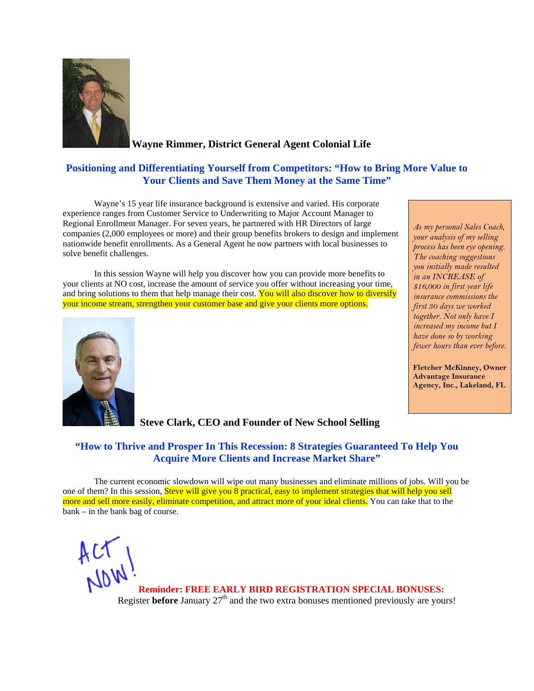

**Wayne Rimmer, District General Agent Colonial Life**

#### **Positioning and Differentiating Yourself from Competitors: "How to Bring More Value to Your Clients and Save Them Money at the Same Time"**

Wayne's 15 year life insurance background is extensive and varied. His corporate experience ranges from Customer Service to Underwriting to Major Account Manager to Regional Enrollment Manager. For seven years, he partnered with HR Directors of large companies (2,000 employees or more) and their group benefits brokers to design and implement nationwide benefit enrollments. As a General Agent he now partners with local businesses to solve benefit challenges.

In this session Wayne will help you discover how you can provide more benefits to your clients at NO cost, increase the amount of service you offer without increasing your time, and bring solutions to them that help manage their cost. You will also discover how to diversify your income stream, strengthen your customer base and give your clients more options.



 **Steve Clark, CEO and Founder of New School Selling**

*process has been eye opening. The coaching suggestions you initially made resulted in an INCREASE of \$16,000 in first year life insurance commissions the first 30 days we worked together. Not only have I increased my income but I have done so by working fewer hours than ever before.*

*As my personal Sales Coach, your analysis of my selling* 

**Fletcher McKinney, Owner Advantage Insurance Agency, Inc., Lakeland, FL** 

### **"How to Thrive and Prosper In This Recession: 8 Strategies Guaranteed To Help You Acquire More Clients and Increase Market Share"**

The current economic slowdown will wipe out many businesses and eliminate millions of jobs. Will you be one of them? In this session, Steve will give you 8 practical, easy to implement strategies that will help you sell more and sell more easily, eliminate competition, and attract more of your ideal clients. You can take that to the bank – in the bank bag of course.

 $AC$  **Reminder: FREE EARLY BIRD REGISTRATION SPECIAL BONUSES:**  Register **before** January  $27<sup>th</sup>$  and the two extra bonuses mentioned previously are yours!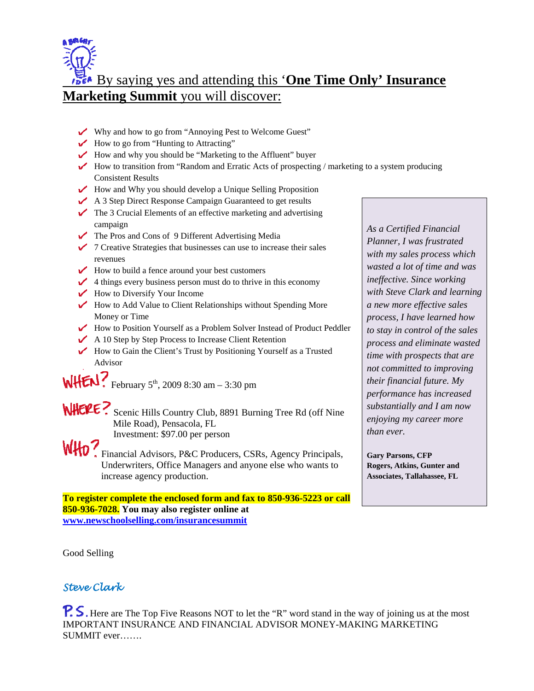

By saying yes and attending this '**One Time Only' Insurance Marketing Summit** you will discover:

- Why and how to go from "Annoying Pest to Welcome Guest"
- $\blacktriangleright$  How to go from "Hunting to Attracting"
- $\blacktriangleright$  How and why you should be "Marketing to the Affluent" buyer
- $\blacktriangleright$  How to transition from "Random and Erratic Acts of prospecting / marketing to a system producing Consistent Results
- $\sqrt{\phantom{a}}$  How and Why you should develop a Unique Selling Proposition
- A 3 Step Direct Response Campaign Guaranteed to get results
- $\triangleright$  The 3 Crucial Elements of an effective marketing and advertising campaign
- The Pros and Cons of 9 Different Advertising Media
- $\checkmark$  7 Creative Strategies that businesses can use to increase their sales revenues
- $\triangleright$  How to build a fence around your best customers
- $\angle$  4 things every business person must do to thrive in this economy
- $\sqrt{\phantom{a}}$  How to Diversify Your Income
- $\blacktriangleright$  How to Add Value to Client Relationships without Spending More Money or Time
- How to Position Yourself as a Problem Solver Instead of Product Peddler
- $\triangle$  A 10 Step by Step Process to Increase Client Retention
- $\blacktriangleright$  How to Gain the Client's Trust by Positioning Yourself as a Trusted Advisor

 $WHEN$ ? February 5<sup>th</sup>, 2009 8:30 am – 3:30 pm

- WHERE? Scenic Hills Country Club, 8891 Burning Tree Rd (off Nine Mile Road), Pensacola, FL Investment: \$97.00 per person
- WHO? Financial Advisors, P&C Producers, CSRs, Agency Principals, Underwriters, Office Managers and anyone else who wants to increase agency production.

**To register complete the enclosed form and fax to 850-936-5223 or call 850-936-7028. You may also register online at [www.newschoolselling.com/insurancesummit](http://www.newschoolselling.com/insurancesummit)** 

*As a Certified Financial Planner, I was frustrated with my sales process which wasted a lot of time and was ineffective. Since working with Steve Clark and learning a new more effective sales process, I have learned how to stay in control of the sales process and eliminate wasted time with prospects that are not committed to improving their financial future. My performance has increased substantially and I am now enjoying my career more than ever.*

**Gary Parsons, CFP Rogers, Atkins, Gunter and Associates, Tallahassee, FL** 

Good Selling

### *Steve Clark*

P. S. Here are The Top Five Reasons NOT to let the "R" word stand in the way of joining us at the most IMPORTANT INSURANCE AND FINANCIAL ADVISOR MONEY-MAKING MARKETING SUMMIT ever…….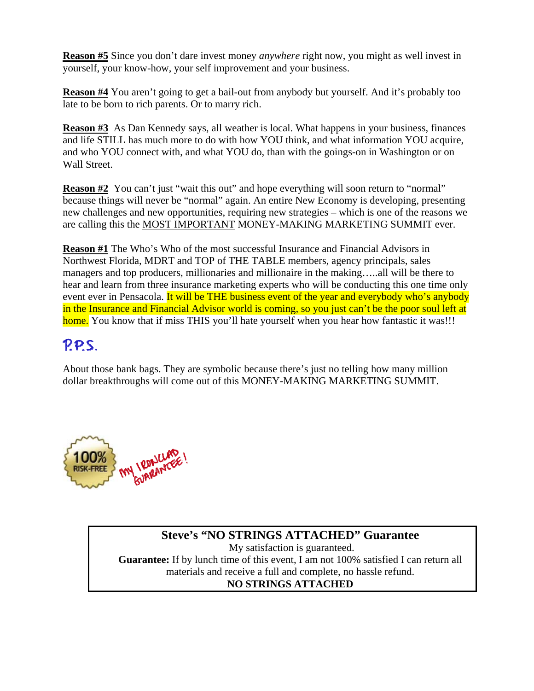**Reason #5** Since you don't dare invest money *anywhere* right now, you might as well invest in yourself, your know-how, your self improvement and your business.

**Reason #4** You aren't going to get a bail-out from anybody but yourself. And it's probably too late to be born to rich parents. Or to marry rich.

**Reason #3** As Dan Kennedy says, all weather is local. What happens in your business, finances and life STILL has much more to do with how YOU think, and what information YOU acquire, and who YOU connect with, and what YOU do, than with the goings-on in Washington or on Wall Street.

**Reason #2** You can't just "wait this out" and hope everything will soon return to "normal" because things will never be "normal" again. An entire New Economy is developing, presenting new challenges and new opportunities, requiring new strategies – which is one of the reasons we are calling this the MOST IMPORTANT MONEY-MAKING MARKETING SUMMIT ever.

**Reason #1** The Who's Who of the most successful Insurance and Financial Advisors in Northwest Florida, MDRT and TOP of THE TABLE members, agency principals, sales managers and top producers, millionaries and millionaire in the making…..all will be there to hear and learn from three insurance marketing experts who will be conducting this one time only event ever in Pensacola. It will be THE business event of the year and everybody who's anybody in the Insurance and Financial Advisor world is coming, so you just can't be the poor soul left at home. You know that if miss THIS you'll hate yourself when you hear how fantastic it was!!!

## P.P.S.

About those bank bags. They are symbolic because there's just no telling how many million dollar breakthroughs will come out of this MONEY-MAKING MARKETING SUMMIT.



### **Steve's "NO STRINGS ATTACHED" Guarantee**  My satisfaction is guaranteed. **Guarantee:** If by lunch time of this event, I am not 100% satisfied I can return all materials and receive a full and complete, no hassle refund.

### **NO STRINGS ATTACHED**